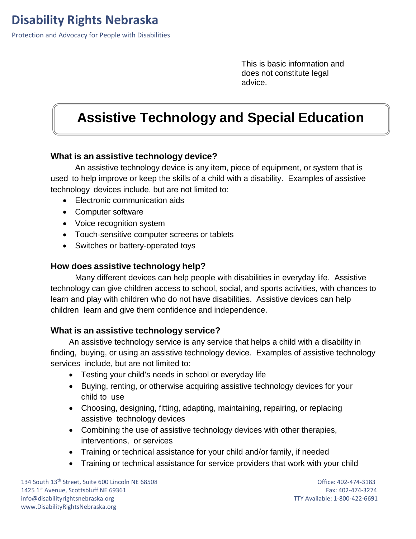Protection and Advocacy for People with Disabilities

This is basic information and does not constitute legal advice.

# **Assistive Technology and Special Education**

#### **What is an assistive technology device?**

An assistive technology device is any item, piece of equipment, or system that is used to help improve or keep the skills of a child with a disability. Examples of assistive technology devices include, but are not limited to:

- Electronic communication aids
- Computer software
- Voice recognition system
- Touch-sensitive computer screens or tablets
- Switches or battery-operated toys

#### **How does assistive technology help?**

Many different devices can help people with disabilities in everyday life. Assistive technology can give children access to school, social, and sports activities, with chances to learn and play with children who do not have disabilities. Assistive devices can help children learn and give them confidence and independence.

#### **What is an assistive technology service?**

An assistive technology service is any service that helps a child with a disability in finding, buying, or using an assistive technology device. Examples of assistive technology services include, but are not limited to:

- Testing your child's needs in school or everyday life
- Buying, renting, or otherwise acquiring assistive technology devices for your child to use
- Choosing, designing, fitting, adapting, maintaining, repairing, or replacing assistive technology devices
- Combining the use of assistive technology devices with other therapies, interventions, or services
- Training or technical assistance for your child and/or family, if needed
- Training or technical assistance for service providers that work with your child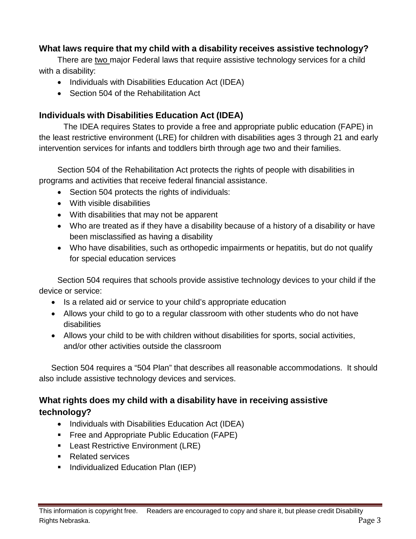## **What laws require that my child with a disability receives assistive technology?**

There are two major Federal laws that require assistive technology services for a child with a disability:

- Individuals with Disabilities Education Act (IDEA)
- Section 504 of the Rehabilitation Act

## **Individuals with Disabilities Education Act (IDEA)**

The IDEA requires States to provide a free and appropriate public education (FAPE) in the least restrictive environment (LRE) for children with disabilities ages 3 through 21 and early intervention services for infants and toddlers birth through age two and their families.

Section 504 of the Rehabilitation Act protects the rights of people with disabilities in programs and activities that receive federal financial assistance.

- Section 504 protects the rights of individuals:
- With visible disabilities
- With disabilities that may not be apparent
- Who are treated as if they have a disability because of a history of a disability or have been misclassified as having a disability
- Who have disabilities, such as orthopedic impairments or hepatitis, but do not qualify for special education services

Section 504 requires that schools provide assistive technology devices to your child if the device or service:

- Is a related aid or service to your child's appropriate education
- Allows your child to go to a regular classroom with other students who do not have disabilities
- Allows your child to be with children without disabilities for sports, social activities, and/or other activities outside the classroom

Section 504 requires a "504 Plan" that describes all reasonable accommodations. It should also include assistive technology devices and services.

## **What rights does my child with a disability have in receiving assistive technology?**

- Individuals with Disabilities Education Act (IDEA)
- **Figure 1** Free and Appropriate Public Education (FAPE)
- **Least Restrictive Environment (LRE)**
- Related services
- **Individualized Education Plan (IEP)**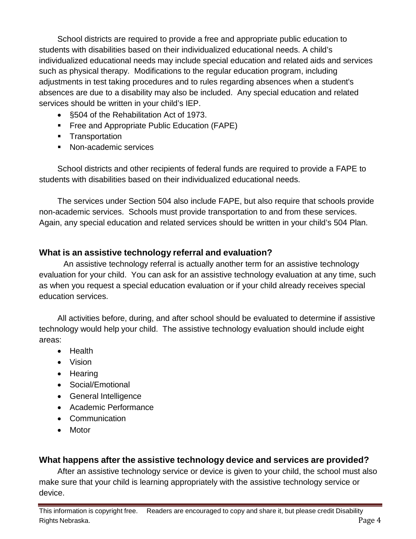School districts are required to provide a free and appropriate public education to students with disabilities based on their individualized educational needs. A child's individualized educational needs may include special education and related aids and services such as physical therapy. Modifications to the regular education program, including adjustments in test taking procedures and to rules regarding absences when a student's absences are due to a disability may also be included. Any special education and related services should be written in your child's IEP.

- §504 of the Rehabilitation Act of 1973.
- **Figure 2** Free and Appropriate Public Education (FAPE)
- **Transportation**
- **Non-academic services**

School districts and other recipients of federal funds are required to provide a FAPE to students with disabilities based on their individualized educational needs.

The services under Section 504 also include FAPE, but also require that schools provide non-academic services. Schools must provide transportation to and from these services. Again, any special education and related services should be written in your child's 504 Plan.

## **What is an assistive technology referral and evaluation?**

An assistive technology referral is actually another term for an assistive technology evaluation for your child. You can ask for an assistive technology evaluation at any time, such as when you request a special education evaluation or if your child already receives special education services.

All activities before, during, and after school should be evaluated to determine if assistive technology would help your child. The assistive technology evaluation should include eight areas:

- Health
- Vision
- Hearing
- Social/Emotional
- General Intelligence
- Academic Performance
- Communication
- Motor

## **What happens after the assistive technology device and services are provided?**

After an assistive technology service or device is given to your child, the school must also make sure that your child is learning appropriately with the assistive technology service or device.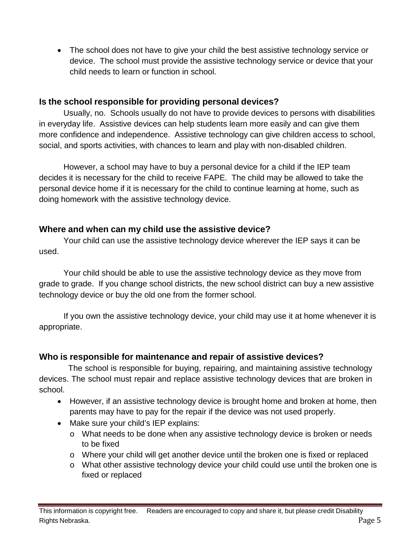• The school does not have to give your child the best assistive technology service or device. The school must provide the assistive technology service or device that your child needs to learn or function in school.

#### **Is the school responsible for providing personal devices?**

Usually, no. Schools usually do not have to provide devices to persons with disabilities in everyday life. Assistive devices can help students learn more easily and can give them more confidence and independence. Assistive technology can give children access to school, social, and sports activities, with chances to learn and play with non-disabled children.

However, a school may have to buy a personal device for a child if the IEP team decides it is necessary for the child to receive FAPE. The child may be allowed to take the personal device home if it is necessary for the child to continue learning at home, such as doing homework with the assistive technology device.

## **Where and when can my child use the assistive device?**

Your child can use the assistive technology device wherever the IEP says it can be used.

Your child should be able to use the assistive technology device as they move from grade to grade. If you change school districts, the new school district can buy a new assistive technology device or buy the old one from the former school.

If you own the assistive technology device, your child may use it at home whenever it is appropriate.

## **Who is responsible for maintenance and repair of assistive devices?**

The school is responsible for buying, repairing, and maintaining assistive technology devices. The school must repair and replace assistive technology devices that are broken in school.

- However, if an assistive technology device is brought home and broken at home, then parents may have to pay for the repair if the device was not used properly.
- Make sure your child's IEP explains:
	- o What needs to be done when any assistive technology device is broken or needs to be fixed
	- o Where your child will get another device until the broken one is fixed or replaced
	- o What other assistive technology device your child could use until the broken one is fixed or replaced